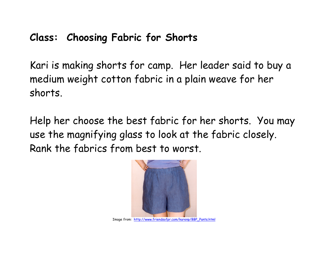# **Class: Choosing Fabric for Shorts**

Kari is making shorts for camp. Her leader said to buy a medium weight cotton fabric in a plain weave for her shorts.

Help her choose the best fabric for her shorts. You may use the magnifying glass to look at the fabric closely. Rank the fabrics from best to worst.

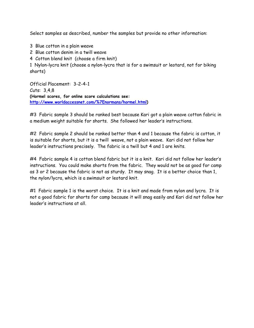Select samples as described, number the samples but provide no other information:

- 3 Blue cotton in a plain weave
- 2 Blue cotton denim in a twill weave
- 4 Cotton blend knit (choose a firm knit)

1 Nylon-lycra knit (choose a nylon-lycra that is for a swimsuit or leotard, not for biking shorts)

Official Placement: 3-2-4-1 Cuts: 3,4,8 **(Hormel scores, for online score calculations see: [http://www.worldaccessnet.com/%7Enormans/hormel.html\)](http://www.worldaccessnet.com/%7Enormans/hormel.html)** 

#3 Fabric sample 3 should be ranked best because Kari got a plain weave cotton fabric in a medium weight suitable for shorts. She followed her leader's instructions.

#2 Fabric sample 2 should be ranked better than 4 and 1 because the fabric is cotton, it is suitable for shorts, but it is a twill weave, not a plain weave. Kari did not follow her leader's instructions precisely. The fabric is a twill but 4 and 1 are knits.

#4 Fabric sample 4 is cotton blend fabric but it is a knit. Kari did not follow her leader's instructions. You could make shorts from the fabric. They would not be as good for camp as 3 or 2 because the fabric is not as sturdy. It may snag. It is a better choice than 1, the nylon/lycra, which is a swimsuit or leotard knit.

#1 Fabric sample 1 is the worst choice. It is a knit and made from nylon and lycra. It is not a good fabric for shorts for camp because it will snag easily and Kari did not follow her leader's instructions at all.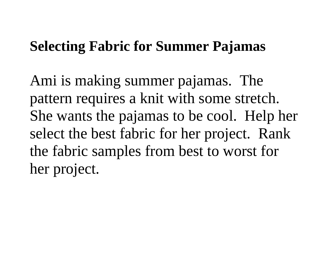# **Selecting Fabric for Summer Pajamas**

Ami is making summer pajamas. The pattern requires a knit with some stretch. She wants the pajamas to be cool. Help her select the best fabric for her project. Rank the fabric samples from best to worst for her project.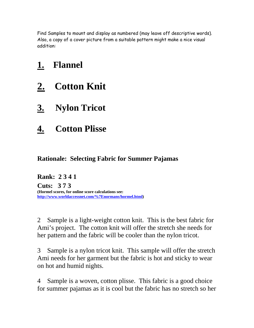Find Samples to mount and display as numbered (may leave off descriptive words). Also, a copy of a cover picture from a suitable pattern might make a nice visual addition:

## **1. Flannel**

- **2. Cotton Knit**
- **3. Nylon Tricot**
- **4. Cotton Plisse**

## **Rationale: Selecting Fabric for Summer Pajamas**

**Rank: 2 3 4 1 Cuts: 3 7 3 (Hormel scores, for online score calculations see: [http://www.worldaccessnet.com/%7Enormans/hormel.html\)](http://www.worldaccessnet.com/%7Enormans/hormel.html)** 

2 Sample is a light-weight cotton knit. This is the best fabric for Ami's project. The cotton knit will offer the stretch she needs for her pattern and the fabric will be cooler than the nylon tricot.

3 Sample is a nylon tricot knit. This sample will offer the stretch Ami needs for her garment but the fabric is hot and sticky to wear on hot and humid nights.

4 Sample is a woven, cotton plisse. This fabric is a good choice for summer pajamas as it is cool but the fabric has no stretch so her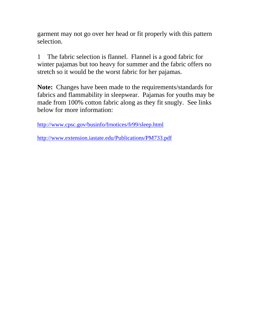garment may not go over her head or fit properly with this pattern selection.

1 The fabric selection is flannel. Flannel is a good fabric for winter pajamas but too heavy for summer and the fabric offers no stretch so it would be the worst fabric for her pajamas.

**Note:** Changes have been made to the requirements/standards for fabrics and flammability in sleepwear. Pajamas for youths may be made from 100% cotton fabric along as they fit snugly. See links below for more information:

<http://www.cpsc.gov/businfo/frnotices/fr99/sleep.html>

<http://www.extension.iastate.edu/Publications/PM733.pdf>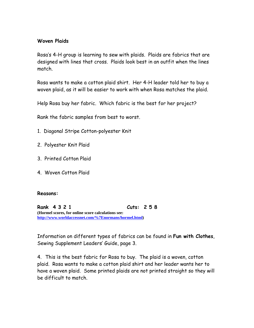### **Woven Plaids**

Rosa's 4-H group is learning to sew with plaids. Plaids are fabrics that are designed with lines that cross. Plaids look best in an outfit when the lines match.

Rosa wants to make a cotton plaid shirt. Her 4-H leader told her to buy a woven plaid, as it will be easier to work with when Rosa matches the plaid.

Help Rosa buy her fabric. Which fabric is the best for her project?

Rank the fabric samples from best to worst.

- 1. Diagonal Stripe Cotton-polyester Knit
- 2. Polyester Knit Plaid
- 3. Printed Cotton Plaid
- 4. Woven Cotton Plaid

#### **Reasons:**

**Rank 4 3 2 1 Cuts: 2 5 8 (Hormel scores, for online score calculations see: [http://www.worldaccessnet.com/%7Enormans/hormel.html\)](http://www.worldaccessnet.com/%7Enormans/hormel.html)** 

Information on different types of fabrics can be found in **Fun with Clothes**, Sewing Supplement Leaders' Guide, page 3.

4. This is the best fabric for Rosa to buy. The plaid is a woven, cotton plaid. Rosa wants to make a cotton plaid shirt and her leader wants her to have a woven plaid. Some printed plaids are not printed straight so they will be difficult to match.